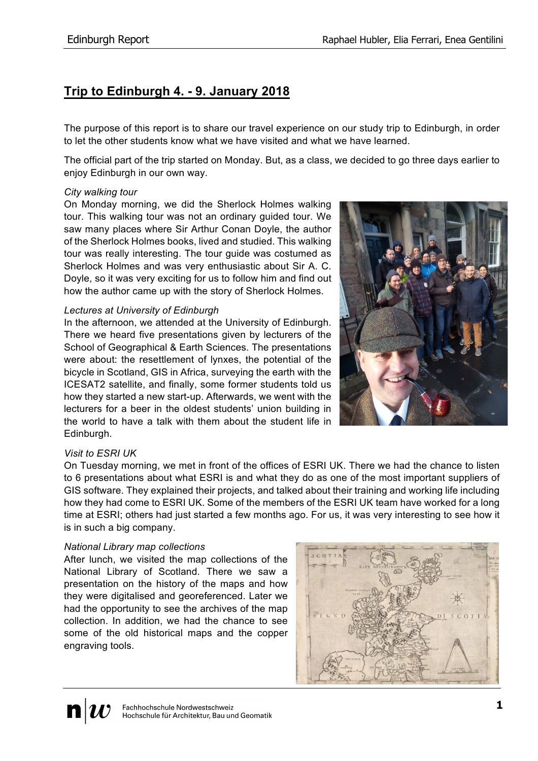# **Trip to Edinburgh 4. - 9. January 2018**

The purpose of this report is to share our travel experience on our study trip to Edinburgh, in order to let the other students know what we have visited and what we have learned.

The official part of the trip started on Monday. But, as a class, we decided to go three days earlier to enjoy Edinburgh in our own way.

## *City walking tour*

On Monday morning, we did the Sherlock Holmes walking tour. This walking tour was not an ordinary guided tour. We saw many places where Sir Arthur Conan Doyle, the author of the Sherlock Holmes books, lived and studied. This walking tour was really interesting. The tour guide was costumed as Sherlock Holmes and was very enthusiastic about Sir A. C. Doyle, so it was very exciting for us to follow him and find out how the author came up with the story of Sherlock Holmes.

## *Lectures at University of Edinburgh*

In the afternoon, we attended at the University of Edinburgh. There we heard five presentations given by lecturers of the School of Geographical & Earth Sciences. The presentations were about: the resettlement of lynxes, the potential of the bicycle in Scotland, GIS in Africa, surveying the earth with the ICESAT2 satellite, and finally, some former students told us how they started a new start-up. Afterwards, we went with the lecturers for a beer in the oldest students' union building in the world to have a talk with them about the student life in Edinburgh.



### *Visit to ESRI UK*

On Tuesday morning, we met in front of the offices of ESRI UK. There we had the chance to listen to 6 presentations about what ESRI is and what they do as one of the most important suppliers of GIS software. They explained their projects, and talked about their training and working life including how they had come to ESRI UK. Some of the members of the ESRI UK team have worked for a long time at ESRI; others had just started a few months ago. For us, it was very interesting to see how it is in such a big company.

### *National Library map collections*

After lunch, we visited the map collections of the National Library of Scotland. There we saw a presentation on the history of the maps and how they were digitalised and georeferenced. Later we had the opportunity to see the archives of the map collection. In addition, we had the chance to see some of the old historical maps and the copper engraving tools.